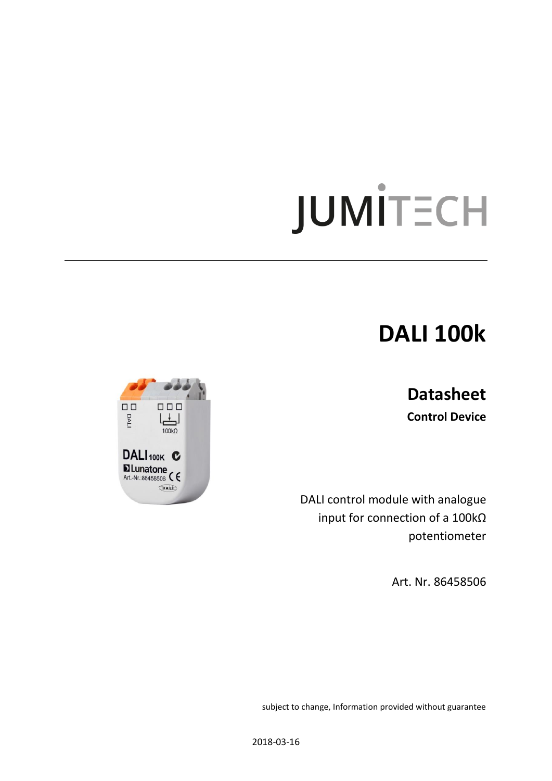# JUMİTECH

## **DALI 100k**

### **Datasheet**

**Control Device**

DALI control module with analogue input for connection of a 100kΩ potentiometer

Art. Nr. 86458506



subject to change, Information provided without guarantee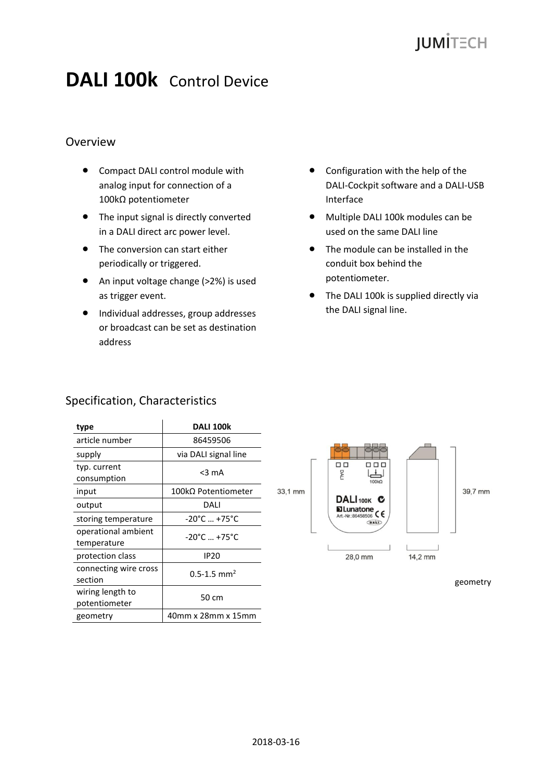## **JUMITECH**

## **DALI 100k** Control Device

#### Overview

- Compact DALI control module with analog input for connection of a 100kΩ potentiometer
- The input signal is directly converted in a DALI direct arc power level.
- The conversion can start either periodically or triggered.
- An input voltage change (>2%) is used as trigger event.
- $\bullet$  Individual addresses, group addresses or broadcast can be set as destination address
- Configuration with the help of the DALI-Cockpit software and a DALI-USB Interface
- Multiple DALI 100k modules can be used on the same DALI line
- The module can be installed in the conduit box behind the potentiometer.
- The DALI 100k is supplied directly via the DALI signal line.

#### Specification, Characteristics

| type                               | <b>DALI 100k</b>                  |
|------------------------------------|-----------------------------------|
| article number                     | 86459506                          |
| supply                             | via DALI signal line              |
| typ. current<br>consumption        | $<$ 3 mA                          |
| input                              | $100$ kΩ Potentiometer            |
| output                             | DALI                              |
| storing temperature                | $-20^{\circ}$ C  +75°C            |
| operational ambient<br>temperature | $-20^{\circ}$ C  +75 $^{\circ}$ C |
| protection class                   | IP20                              |
| connecting wire cross<br>section   | $0.5 - 1.5$ mm <sup>2</sup>       |
| wiring length to<br>potentiometer  | 50 cm                             |
| geometry                           | 40mm x 28mm x 15mm                |



geometry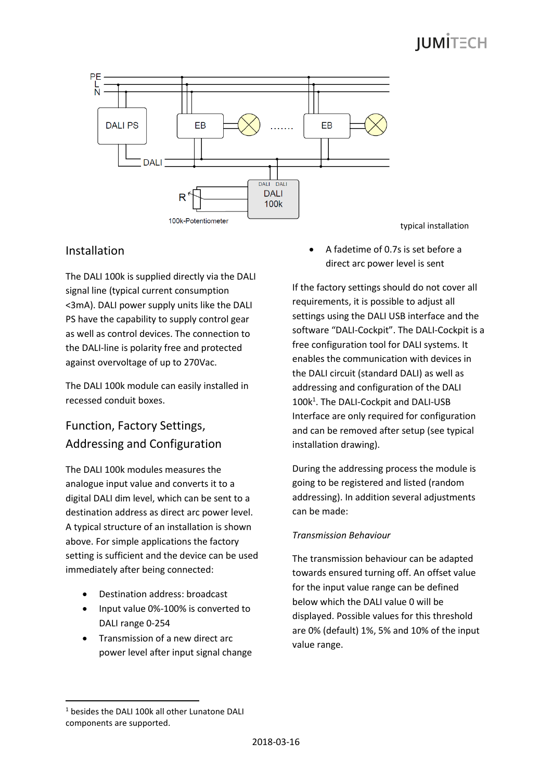## **IUMITECH**



#### Installation

The DALI 100k is supplied directly via the DALI signal line (typical current consumption <3mA). DALI power supply units like the DALI PS have the capability to supply control gear as well as control devices. The connection to the DALI-line is polarity free and protected against overvoltage of up to 270Vac.

The DALI 100k module can easily installed in recessed conduit boxes.

#### Function, Factory Settings, Addressing and Configuration

The DALI 100k modules measures the analogue input value and converts it to a digital DALI dim level, which can be sent to a destination address as direct arc power level. A typical structure of an installation is shown above. For simple applications the factory setting is sufficient and the device can be used immediately after being connected:

- Destination address: broadcast
- Input value 0%-100% is converted to DALI range 0-254
- Transmission of a new direct arc power level after input signal change

 A fadetime of 0.7s is set before a direct arc power level is sent

If the factory settings should do not cover all requirements, it is possible to adjust all settings using the DALI USB interface and the software "DALI-Cockpit". The DALI-Cockpit is a free configuration tool for DALI systems. It enables the communication with devices in the DALI circuit (standard DALI) as well as addressing and configuration of the DALI 100k<sup>1</sup>. The DALI-Cockpit and DALI-USB Interface are only required for configuration and can be removed after setup (see typical installation drawing).

During the addressing process the module is going to be registered and listed (random addressing). In addition several adjustments can be made:

#### *Transmission Behaviour*

The transmission behaviour can be adapted towards ensured turning off. An offset value for the input value range can be defined below which the DALI value 0 will be displayed. Possible values for this threshold are 0% (default) 1%, 5% and 10% of the input value range.

1

<sup>1</sup> besides the DALI 100k all other Lunatone DALI components are supported.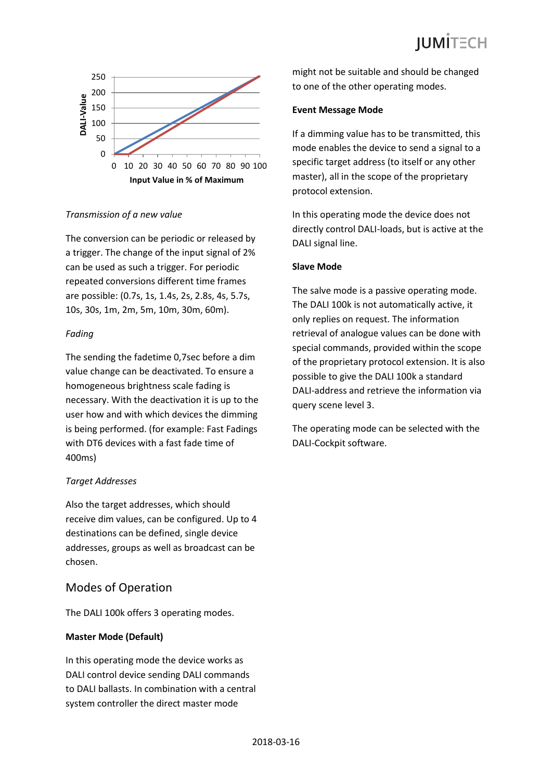

#### *Transmission of a new value*

The conversion can be periodic or released by a trigger. The change of the input signal of 2% can be used as such a trigger. For periodic repeated conversions different time frames are possible: (0.7s, 1s, 1.4s, 2s, 2.8s, 4s, 5.7s, 10s, 30s, 1m, 2m, 5m, 10m, 30m, 60m).

#### *Fading*

The sending the fadetime 0,7sec before a dim value change can be deactivated. To ensure a homogeneous brightness scale fading is necessary. With the deactivation it is up to the user how and with which devices the dimming is being performed. (for example: Fast Fadings with DT6 devices with a fast fade time of 400ms)

#### *Target Addresses*

Also the target addresses, which should receive dim values, can be configured. Up to 4 destinations can be defined, single device addresses, groups as well as broadcast can be chosen.

#### Modes of Operation

The DALI 100k offers 3 operating modes.

#### **Master Mode (Default)**

In this operating mode the device works as DALI control device sending DALI commands to DALI ballasts. In combination with a central system controller the direct master mode

might not be suitable and should be changed to one of the other operating modes.

#### **Event Message Mode**

If a dimming value has to be transmitted, this mode enables the device to send a signal to a specific target address (to itself or any other master), all in the scope of the proprietary protocol extension.

In this operating mode the device does not directly control DALI-loads, but is active at the DALI signal line.

#### **Slave Mode**

The salve mode is a passive operating mode. The DALI 100k is not automatically active, it only replies on request. The information retrieval of analogue values can be done with special commands, provided within the scope of the proprietary protocol extension. It is also possible to give the DALI 100k a standard DALI-address and retrieve the information via query scene level 3.

The operating mode can be selected with the DALI-Cockpit software.